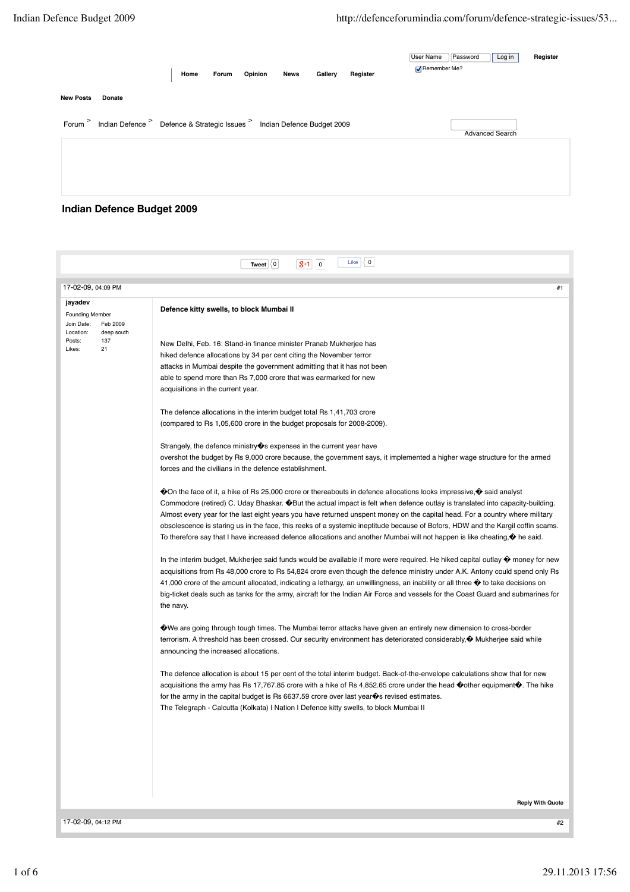|                  |                                                                                  | Home | Forum | Opinion | <b>News</b> | Gallery | Register | Password<br>User Name<br>Log in<br>Remember Me? | Register |
|------------------|----------------------------------------------------------------------------------|------|-------|---------|-------------|---------|----------|-------------------------------------------------|----------|
| <b>New Posts</b> | Donate                                                                           |      |       |         |             |         |          |                                                 |          |
|                  | Forum > Indian Defence > Defence & Strategic Issues > Indian Defence Budget 2009 |      |       |         |             |         |          | Advanced Search                                 | - 역      |
|                  |                                                                                  |      |       |         |             |         |          |                                                 |          |
|                  |                                                                                  |      |       |         |             |         |          |                                                 |          |
|                  |                                                                                  |      |       |         |             |         |          |                                                 |          |

## **Indian Defence Budget 2009**

| 17-02-09, 04:09 PM                                          | #1                                                                                                                                                                                                                                                                                                                                                                                                                                                                                                                                                                                                                                                                                                                                                                                                                                                                                                                                                                                                                                                                                                                                                                                                                                                                                                                                                                                                                                                                                                                                                                                                                                                                                                                                                                                                                                                                                                                                                                                                                                                                                                                                                                                                                                                                                                                                                                                                                                                                                                                                                                                                                                                                                                                                                                                      |
|-------------------------------------------------------------|-----------------------------------------------------------------------------------------------------------------------------------------------------------------------------------------------------------------------------------------------------------------------------------------------------------------------------------------------------------------------------------------------------------------------------------------------------------------------------------------------------------------------------------------------------------------------------------------------------------------------------------------------------------------------------------------------------------------------------------------------------------------------------------------------------------------------------------------------------------------------------------------------------------------------------------------------------------------------------------------------------------------------------------------------------------------------------------------------------------------------------------------------------------------------------------------------------------------------------------------------------------------------------------------------------------------------------------------------------------------------------------------------------------------------------------------------------------------------------------------------------------------------------------------------------------------------------------------------------------------------------------------------------------------------------------------------------------------------------------------------------------------------------------------------------------------------------------------------------------------------------------------------------------------------------------------------------------------------------------------------------------------------------------------------------------------------------------------------------------------------------------------------------------------------------------------------------------------------------------------------------------------------------------------------------------------------------------------------------------------------------------------------------------------------------------------------------------------------------------------------------------------------------------------------------------------------------------------------------------------------------------------------------------------------------------------------------------------------------------------------------------------------------------------|
|                                                             |                                                                                                                                                                                                                                                                                                                                                                                                                                                                                                                                                                                                                                                                                                                                                                                                                                                                                                                                                                                                                                                                                                                                                                                                                                                                                                                                                                                                                                                                                                                                                                                                                                                                                                                                                                                                                                                                                                                                                                                                                                                                                                                                                                                                                                                                                                                                                                                                                                                                                                                                                                                                                                                                                                                                                                                         |
| jayadev<br><b>Founding Member</b><br>Join Date:<br>Feb 2009 | Defence kitty swells, to block Mumbai II                                                                                                                                                                                                                                                                                                                                                                                                                                                                                                                                                                                                                                                                                                                                                                                                                                                                                                                                                                                                                                                                                                                                                                                                                                                                                                                                                                                                                                                                                                                                                                                                                                                                                                                                                                                                                                                                                                                                                                                                                                                                                                                                                                                                                                                                                                                                                                                                                                                                                                                                                                                                                                                                                                                                                |
| Location:<br>deep south<br>Posts:<br>137<br>21<br>Likes:    | New Delhi, Feb. 16: Stand-in finance minister Pranab Mukherjee has<br>hiked defence allocations by 34 per cent citing the November terror<br>attacks in Mumbai despite the government admitting that it has not been<br>able to spend more than Rs 7,000 crore that was earmarked for new<br>acquisitions in the current year.<br>The defence allocations in the interim budget total Rs 1,41,703 crore<br>(compared to Rs 1,05,600 crore in the budget proposals for 2008-2009).<br>Strangely, the defence ministry $\bullet$ expenses in the current year have<br>overshot the budget by Rs 9,000 crore because, the government says, it implemented a higher wage structure for the armed<br>forces and the civilians in the defence establishment.<br>◆ On the face of it, a hike of Rs 25,000 crore or thereabouts in defence allocations looks impressive, ◆ said analyst<br>Commodore (retired) C. Uday Bhaskar. <sup>1</sup> But the actual impact is felt when defence outlay is translated into capacity-building.<br>Almost every year for the last eight years you have returned unspent money on the capital head. For a country where military<br>obsolescence is staring us in the face, this reeks of a systemic ineptitude because of Bofors, HDW and the Kargil coffin scams.<br>To therefore say that I have increased defence allocations and another Mumbai will not happen is like cheating, $\bullet$ he said.<br>In the interim budget, Mukherjee said funds would be available if more were required. He hiked capital outlay $\bullet$ money for new<br>acquisitions from Rs 48,000 crore to Rs 54,824 crore even though the defence ministry under A.K. Antony could spend only Rs<br>41,000 crore of the amount allocated, indicating a lethargy, an unwillingness, an inability or all three $\bullet$ to take decisions on<br>big-ticket deals such as tanks for the army, aircraft for the Indian Air Force and vessels for the Coast Guard and submarines for<br>the navy.<br>We are going through tough times. The Mumbai terror attacks have given an entirely new dimension to cross-border<br>terrorism. A threshold has been crossed. Our security environment has deteriorated considerably, �� Mukherjee said while<br>announcing the increased allocations.<br>The defence allocation is about 15 per cent of the total interim budget. Back-of-the-envelope calculations show that for new<br>acquisitions the army has Rs 17,767.85 crore with a hike of Rs 4,852.65 crore under the head $\bullet$ other equipment $\bullet$ . The hike<br>for the army in the capital budget is Rs $6637.59$ crore over last year $\circledast$ s revised estimates.<br>The Telegraph - Calcutta (Kolkata)   Nation   Defence kitty swells, to block Mumbai |
|                                                             | <b>Reply With Quote</b>                                                                                                                                                                                                                                                                                                                                                                                                                                                                                                                                                                                                                                                                                                                                                                                                                                                                                                                                                                                                                                                                                                                                                                                                                                                                                                                                                                                                                                                                                                                                                                                                                                                                                                                                                                                                                                                                                                                                                                                                                                                                                                                                                                                                                                                                                                                                                                                                                                                                                                                                                                                                                                                                                                                                                                 |
|                                                             |                                                                                                                                                                                                                                                                                                                                                                                                                                                                                                                                                                                                                                                                                                                                                                                                                                                                                                                                                                                                                                                                                                                                                                                                                                                                                                                                                                                                                                                                                                                                                                                                                                                                                                                                                                                                                                                                                                                                                                                                                                                                                                                                                                                                                                                                                                                                                                                                                                                                                                                                                                                                                                                                                                                                                                                         |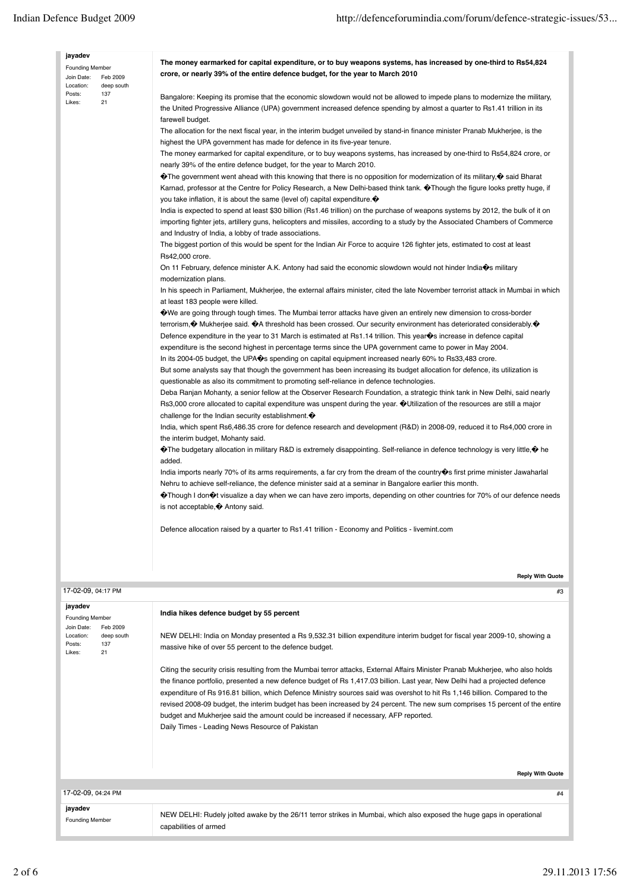| jayadev                                                                                      |                                                                                                                                                                                                                                                                                                                                                                                                                                                                                                                                                                                                                                                                       |
|----------------------------------------------------------------------------------------------|-----------------------------------------------------------------------------------------------------------------------------------------------------------------------------------------------------------------------------------------------------------------------------------------------------------------------------------------------------------------------------------------------------------------------------------------------------------------------------------------------------------------------------------------------------------------------------------------------------------------------------------------------------------------------|
| <b>Founding Member</b><br>Feb 2009<br>Join Date:<br>Location:<br>deep south                  | The money earmarked for capital expenditure, or to buy weapons systems, has increased by one-third to Rs54,824<br>crore, or nearly 39% of the entire defence budget, for the year to March 2010                                                                                                                                                                                                                                                                                                                                                                                                                                                                       |
| Posts:<br>137<br>21<br>Likes:                                                                | Bangalore: Keeping its promise that the economic slowdown would not be allowed to impede plans to modernize the military,<br>the United Progressive Alliance (UPA) government increased defence spending by almost a quarter to Rs1.41 trillion in its                                                                                                                                                                                                                                                                                                                                                                                                                |
|                                                                                              | farewell budget.<br>The allocation for the next fiscal year, in the interim budget unveiled by stand-in finance minister Pranab Mukherjee, is the<br>highest the UPA government has made for defence in its five-year tenure.                                                                                                                                                                                                                                                                                                                                                                                                                                         |
|                                                                                              | The money earmarked for capital expenditure, or to buy weapons systems, has increased by one-third to Rs54,824 crore, or<br>nearly 39% of the entire defence budget, for the year to March 2010.                                                                                                                                                                                                                                                                                                                                                                                                                                                                      |
|                                                                                              | $\bullet$ The government went ahead with this knowing that there is no opposition for modernization of its military, $\bullet$ said Bharat<br>Karnad, professor at the Centre for Policy Research, a New Delhi-based think tank. $\bullet$ Though the figure looks pretty huge, if<br>you take inflation, it is about the same (level of) capital expenditure. $\bullet$                                                                                                                                                                                                                                                                                              |
|                                                                                              | India is expected to spend at least \$30 billion (Rs1.46 trillion) on the purchase of weapons systems by 2012, the bulk of it on<br>importing fighter jets, artillery guns, helicopters and missiles, according to a study by the Associated Chambers of Commerce<br>and Industry of India, a lobby of trade associations.                                                                                                                                                                                                                                                                                                                                            |
|                                                                                              | The biggest portion of this would be spent for the Indian Air Force to acquire 126 fighter jets, estimated to cost at least<br>Rs42,000 crore.                                                                                                                                                                                                                                                                                                                                                                                                                                                                                                                        |
|                                                                                              | On 11 February, defence minister A.K. Antony had said the economic slowdown would not hinder India $\hat{\mathbf{\Phi}}$ s military<br>modernization plans.<br>In his speech in Parliament, Mukherjee, the external affairs minister, cited the late November terrorist attack in Mumbai in which                                                                                                                                                                                                                                                                                                                                                                     |
|                                                                                              | at least 183 people were killed.                                                                                                                                                                                                                                                                                                                                                                                                                                                                                                                                                                                                                                      |
|                                                                                              | We are going through tough times. The Mumbai terror attacks have given an entirely new dimension to cross-border<br>terrorism, $\bullet$ Mukherjee said. $\bullet$ A threshold has been crossed. Our security environment has deteriorated considerably. $\bullet$<br>Defence expenditure in the year to 31 March is estimated at Rs1.14 trillion. This year $\bullet$ s increase in defence capital                                                                                                                                                                                                                                                                  |
|                                                                                              | expenditure is the second highest in percentage terms since the UPA government came to power in May 2004.<br>In its 2004-05 budget, the UPA $\bullet$ spending on capital equipment increased nearly 60% to Rs33,483 crore.                                                                                                                                                                                                                                                                                                                                                                                                                                           |
|                                                                                              | But some analysts say that though the government has been increasing its budget allocation for defence, its utilization is<br>questionable as also its commitment to promoting self-reliance in defence technologies.                                                                                                                                                                                                                                                                                                                                                                                                                                                 |
|                                                                                              | Deba Ranjan Mohanty, a senior fellow at the Observer Research Foundation, a strategic think tank in New Delhi, said nearly<br>Rs3,000 crore allocated to capital expenditure was unspent during the year. <sup>*</sup> Utilization of the resources are still a major<br>challenge for the Indian security establishment. $\bullet$                                                                                                                                                                                                                                                                                                                                   |
|                                                                                              | India, which spent Rs6,486.35 crore for defence research and development (R&D) in 2008-09, reduced it to Rs4,000 crore in<br>the interim budget, Mohanty said.                                                                                                                                                                                                                                                                                                                                                                                                                                                                                                        |
|                                                                                              | $\bullet$ The budgetary allocation in military R&D is extremely disappointing. Self-reliance in defence technology is very little, $\bullet$ he<br>added.                                                                                                                                                                                                                                                                                                                                                                                                                                                                                                             |
|                                                                                              | India imports nearly 70% of its arms requirements, a far cry from the dream of the country os first prime minister Jawaharlal<br>Nehru to achieve self-reliance, the defence minister said at a seminar in Bangalore earlier this month.                                                                                                                                                                                                                                                                                                                                                                                                                              |
|                                                                                              | $\bullet$ Though I don $\bullet$ t visualize a day when we can have zero imports, depending on other countries for 70% of our defence needs<br>is not acceptable, $\bullet$ Antony said.                                                                                                                                                                                                                                                                                                                                                                                                                                                                              |
|                                                                                              | Defence allocation raised by a quarter to Rs1.41 trillion - Economy and Politics - livemint.com                                                                                                                                                                                                                                                                                                                                                                                                                                                                                                                                                                       |
|                                                                                              | <b>Reply With Quote</b>                                                                                                                                                                                                                                                                                                                                                                                                                                                                                                                                                                                                                                               |
| 17-02-09, 04:17 PM                                                                           | #3                                                                                                                                                                                                                                                                                                                                                                                                                                                                                                                                                                                                                                                                    |
| jayadev                                                                                      | India hikes defence budget by 55 percent                                                                                                                                                                                                                                                                                                                                                                                                                                                                                                                                                                                                                              |
| <b>Founding Member</b><br>Join Date:<br>Feb 2009<br>Location:<br>deep south<br>Posts:<br>137 | NEW DELHI: India on Monday presented a Rs 9,532.31 billion expenditure interim budget for fiscal year 2009-10, showing a<br>massive hike of over 55 percent to the defence budget.                                                                                                                                                                                                                                                                                                                                                                                                                                                                                    |
| Likes:<br>21                                                                                 |                                                                                                                                                                                                                                                                                                                                                                                                                                                                                                                                                                                                                                                                       |
|                                                                                              | Citing the security crisis resulting from the Mumbai terror attacks, External Affairs Minister Pranab Mukherjee, who also holds<br>the finance portfolio, presented a new defence budget of Rs 1,417.03 billion. Last year, New Delhi had a projected defence<br>expenditure of Rs 916.81 billion, which Defence Ministry sources said was overshot to hit Rs 1,146 billion. Compared to the<br>revised 2008-09 budget, the interim budget has been increased by 24 percent. The new sum comprises 15 percent of the entire<br>budget and Mukherjee said the amount could be increased if necessary, AFP reported.<br>Daily Times - Leading News Resource of Pakistan |
|                                                                                              |                                                                                                                                                                                                                                                                                                                                                                                                                                                                                                                                                                                                                                                                       |
|                                                                                              | <b>Reply With Quote</b>                                                                                                                                                                                                                                                                                                                                                                                                                                                                                                                                                                                                                                               |
| 17-02-09, 04:24 PM                                                                           | #4                                                                                                                                                                                                                                                                                                                                                                                                                                                                                                                                                                                                                                                                    |

## **jayadev**

NEW DELHI: Rudely jolted awake by the 26/11 terror strikes in Mumbai, which also exposed the huge gaps in operational capabilities of armed Founding Member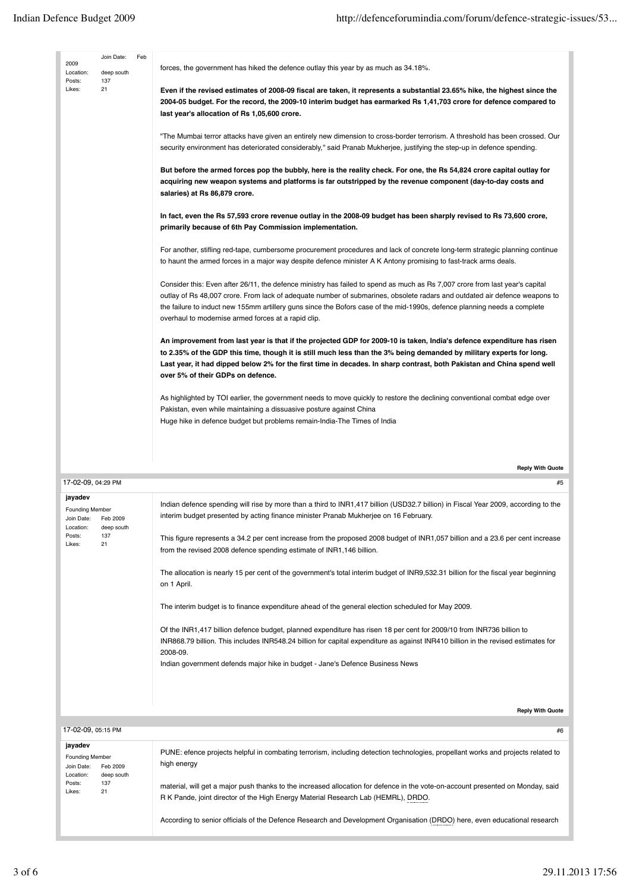| 2009<br>Location:<br>Posts:<br>Likes: | Join Date:<br>deep south<br>137<br>21 | Feb | forces, the government has hiked the defence outlay this year by as much as 34.18%.<br>Even if the revised estimates of 2008-09 fiscal are taken, it represents a substantial 23.65% hike, the highest since the<br>2004-05 budget. For the record, the 2009-10 interim budget has earmarked Rs 1,41,703 crore for defence compared to<br>last year's allocation of Rs 1,05,600 crore.<br>"The Mumbai terror attacks have given an entirely new dimension to cross-border terrorism. A threshold has been crossed. Our<br>security environment has deteriorated considerably," said Pranab Mukherjee, justifying the step-up in defence spending.<br>But before the armed forces pop the bubbly, here is the reality check. For one, the Rs 54,824 crore capital outlay for<br>acquiring new weapon systems and platforms is far outstripped by the revenue component (day-to-day costs and<br>salaries) at Rs 86,879 crore.<br>In fact, even the Rs 57,593 crore revenue outlay in the 2008-09 budget has been sharply revised to Rs 73,600 crore,<br>primarily because of 6th Pay Commission implementation.<br>For another, stifling red-tape, cumbersome procurement procedures and lack of concrete long-term strategic planning continue<br>to haunt the armed forces in a major way despite defence minister A K Antony promising to fast-track arms deals.<br>Consider this: Even after 26/11, the defence ministry has failed to spend as much as Rs 7,007 crore from last year's capital<br>outlay of Rs 48,007 crore. From lack of adequate number of submarines, obsolete radars and outdated air defence weapons to<br>the failure to induct new 155mm artillery guns since the Bofors case of the mid-1990s, defence planning needs a complete<br>overhaul to modernise armed forces at a rapid clip.<br>An improvement from last year is that if the projected GDP for 2009-10 is taken, India's defence expenditure has risen<br>to 2.35% of the GDP this time, though it is still much less than the 3% being demanded by military experts for long.<br>Last year, it had dipped below 2% for the first time in decades. In sharp contrast, both Pakistan and China spend well<br>over 5% of their GDPs on defence.<br>As highlighted by TOI earlier, the government needs to move quickly to restore the declining conventional combat edge over<br>Pakistan, even while maintaining a dissuasive posture against China<br>Huge hike in defence budget but problems remain-India-The Times of India |
|---------------------------------------|---------------------------------------|-----|-----------------------------------------------------------------------------------------------------------------------------------------------------------------------------------------------------------------------------------------------------------------------------------------------------------------------------------------------------------------------------------------------------------------------------------------------------------------------------------------------------------------------------------------------------------------------------------------------------------------------------------------------------------------------------------------------------------------------------------------------------------------------------------------------------------------------------------------------------------------------------------------------------------------------------------------------------------------------------------------------------------------------------------------------------------------------------------------------------------------------------------------------------------------------------------------------------------------------------------------------------------------------------------------------------------------------------------------------------------------------------------------------------------------------------------------------------------------------------------------------------------------------------------------------------------------------------------------------------------------------------------------------------------------------------------------------------------------------------------------------------------------------------------------------------------------------------------------------------------------------------------------------------------------------------------------------------------------------------------------------------------------------------------------------------------------------------------------------------------------------------------------------------------------------------------------------------------------------------------------------------------------------------------------------------------------------------------------------------------------------------------------------------------------------------------------------------------------------------------------------------------------------|
|                                       |                                       |     | <b>Reply With Quote</b>                                                                                                                                                                                                                                                                                                                                                                                                                                                                                                                                                                                                                                                                                                                                                                                                                                                                                                                                                                                                                                                                                                                                                                                                                                                                                                                                                                                                                                                                                                                                                                                                                                                                                                                                                                                                                                                                                                                                                                                                                                                                                                                                                                                                                                                                                                                                                                                                                                                                                               |

| 17-02-09, 04:29 PM                                                                                                      | #5                                                                                                                                                                                                                                                                                                                                                                                                                                                                                                                                                                                                                                                                                                                                                                                                                                                                                                                                                                                                                                                        |
|-------------------------------------------------------------------------------------------------------------------------|-----------------------------------------------------------------------------------------------------------------------------------------------------------------------------------------------------------------------------------------------------------------------------------------------------------------------------------------------------------------------------------------------------------------------------------------------------------------------------------------------------------------------------------------------------------------------------------------------------------------------------------------------------------------------------------------------------------------------------------------------------------------------------------------------------------------------------------------------------------------------------------------------------------------------------------------------------------------------------------------------------------------------------------------------------------|
| jayadev<br><b>Founding Member</b><br>Join Date:<br>Feb 2009<br>Location:<br>deep south<br>Posts:<br>137<br>21<br>Likes: | Indian defence spending will rise by more than a third to INR1,417 billion (USD32.7 billion) in Fiscal Year 2009, according to the<br>interim budget presented by acting finance minister Pranab Mukherjee on 16 February.<br>This figure represents a 34.2 per cent increase from the proposed 2008 budget of INR1,057 billion and a 23.6 per cent increase<br>from the revised 2008 defence spending estimate of INR1,146 billion.<br>The allocation is nearly 15 per cent of the government's total interim budget of INR9,532.31 billion for the fiscal year beginning<br>on 1 April.<br>The interim budget is to finance expenditure ahead of the general election scheduled for May 2009.<br>Of the INR1,417 billion defence budget, planned expenditure has risen 18 per cent for 2009/10 from INR736 billion to<br>INR868.79 billion. This includes INR548.24 billion for capital expenditure as against INR410 billion in the revised estimates for<br>2008-09.<br>Indian government defends major hike in budget - Jane's Defence Business News |
|                                                                                                                         | <b>Reply With Quote</b>                                                                                                                                                                                                                                                                                                                                                                                                                                                                                                                                                                                                                                                                                                                                                                                                                                                                                                                                                                                                                                   |
| 17-02-09, 05:15 PM                                                                                                      | #6                                                                                                                                                                                                                                                                                                                                                                                                                                                                                                                                                                                                                                                                                                                                                                                                                                                                                                                                                                                                                                                        |

PUNE: efence projects helpful in combating terrorism, including detection technologies, propellant works and projects related to high energy material, will get a major push thanks to the increased allocation for defence in the vote-on-account presented on Monday, said R K Pande, joint director of the High Energy Material Research Lab (HEMRL), DRDO. According to senior officials of the Defence Research and Development Organisation (DRDO) here, even educational research Founding Member Join Date: Location: Posts: Likes: Feb 2009 deep south 137 21 **jayadev**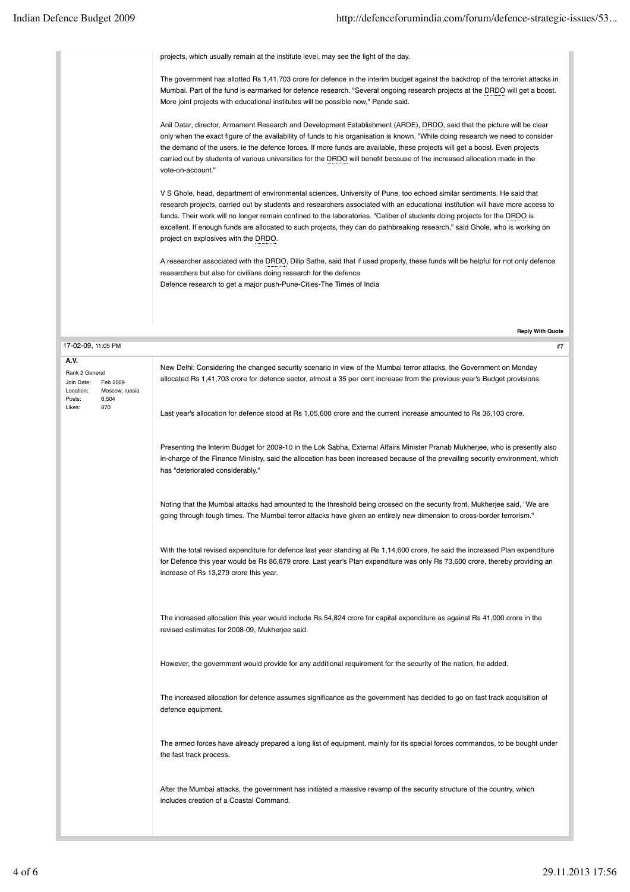**Reply With Quote**

projects, which usually remain at the institute level, may see the light of the day.

The government has allotted Rs 1,41,703 crore for defence in the interim budget against the backdrop of the terrorist attacks in Mumbai. Part of the fund is earmarked for defence research. "Several ongoing research projects at the DRDO will get a boost. More joint projects with educational institutes will be possible now," Pande said.

Anil Datar, director, Armament Research and Development Establishment (ARDE), DRDO, said that the picture will be clear only when the exact figure of the availability of funds to his organisation is known. "While doing research we need to consider the demand of the users, ie the defence forces. If more funds are available, these projects will get a boost. Even projects carried out by students of various universities for the DRDO will benefit because of the increased allocation made in the vote-on-account."

V S Ghole, head, department of environmental sciences, University of Pune, too echoed similar sentiments. He said that research projects, carried out by students and researchers associated with an educational institution will have more access to funds. Their work will no longer remain confined to the laboratories. "Caliber of students doing projects for the DRDO is excellent. If enough funds are allocated to such projects, they can do pathbreaking research," said Ghole, who is working on project on explosives with the DRDO.

A researcher associated with the DRDO, Dilip Sathe, said that if used properly, these funds will be helpful for not only defence researchers but also for civilians doing research for the defence Defence research to get a major push-Pune-Cities-The Times of India

| 17-02-09, 11:05 PM<br>#7                                                                           |                                                                                                                                                                                                                                                                                                         |  |  |  |  |
|----------------------------------------------------------------------------------------------------|---------------------------------------------------------------------------------------------------------------------------------------------------------------------------------------------------------------------------------------------------------------------------------------------------------|--|--|--|--|
| A.V.<br>Rank 2 General<br>Join Date:<br>Feb 2009<br>Location:<br>Moscow, russia<br>6,504<br>Posts: | New Delhi: Considering the changed security scenario in view of the Mumbai terror attacks, the Government on Monday<br>allocated Rs 1,41,703 crore for defence sector, almost a 35 per cent increase from the previous year's Budget provisions.                                                        |  |  |  |  |
| 870<br>Likes:                                                                                      | Last year's allocation for defence stood at Rs 1,05,600 crore and the current increase amounted to Rs 36,103 crore.                                                                                                                                                                                     |  |  |  |  |
|                                                                                                    | Presenting the Interim Budget for 2009-10 in the Lok Sabha, External Affairs Minister Pranab Mukherjee, who is presently also<br>in-charge of the Finance Ministry, said the allocation has been increased because of the prevailing security environment, which<br>has "deteriorated considerably."    |  |  |  |  |
|                                                                                                    | Noting that the Mumbai attacks had amounted to the threshold being crossed on the security front, Mukherjee said, "We are<br>going through tough times. The Mumbai terror attacks have given an entirely new dimension to cross-border terrorism."                                                      |  |  |  |  |
|                                                                                                    | With the total revised expenditure for defence last year standing at Rs 1,14,600 crore, he said the increased Plan expenditure<br>for Defence this year would be Rs 86,879 crore. Last year's Plan expenditure was only Rs 73,600 crore, thereby providing an<br>increase of Rs 13,279 crore this year. |  |  |  |  |
|                                                                                                    | The increased allocation this year would include Rs 54,824 crore for capital expenditure as against Rs 41,000 crore in the<br>revised estimates for 2008-09, Mukherjee said.                                                                                                                            |  |  |  |  |
|                                                                                                    | However, the government would provide for any additional requirement for the security of the nation, he added.                                                                                                                                                                                          |  |  |  |  |
|                                                                                                    | The increased allocation for defence assumes significance as the government has decided to go on fast track acquisition of<br>defence equipment.                                                                                                                                                        |  |  |  |  |
|                                                                                                    | The armed forces have already prepared a long list of equipment, mainly for its special forces commandos, to be bought under<br>the fast track process.                                                                                                                                                 |  |  |  |  |
|                                                                                                    | After the Mumbai attacks, the government has initiated a massive revamp of the security structure of the country, which<br>includes creation of a Coastal Command.                                                                                                                                      |  |  |  |  |
|                                                                                                    |                                                                                                                                                                                                                                                                                                         |  |  |  |  |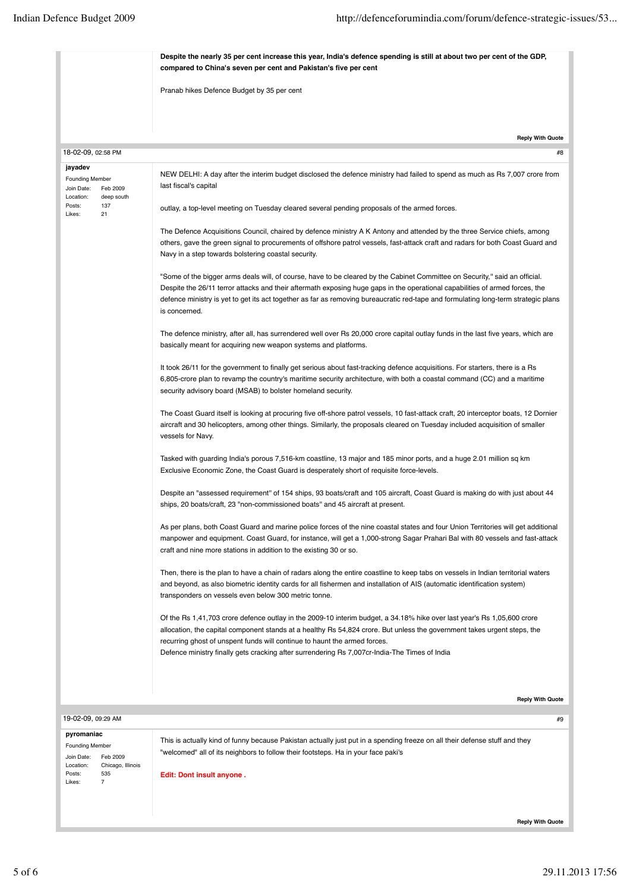| Despite the nearly 35 per cent increase this year, India's defence spending is still at about two per cent of the GDP,<br>compared to China's seven per cent and Pakistan's five per cent |                                                                                                                                                                                                                                                                                                                                                                                                                    |  |  |
|-------------------------------------------------------------------------------------------------------------------------------------------------------------------------------------------|--------------------------------------------------------------------------------------------------------------------------------------------------------------------------------------------------------------------------------------------------------------------------------------------------------------------------------------------------------------------------------------------------------------------|--|--|
|                                                                                                                                                                                           | Pranab hikes Defence Budget by 35 per cent                                                                                                                                                                                                                                                                                                                                                                         |  |  |
|                                                                                                                                                                                           | <b>Reply With Quote</b>                                                                                                                                                                                                                                                                                                                                                                                            |  |  |
| 18-02-09, 02:58 PM                                                                                                                                                                        | #8                                                                                                                                                                                                                                                                                                                                                                                                                 |  |  |
| jayadev<br><b>Founding Member</b><br>Join Date:<br>Feb 2009<br>Location:<br>deep south                                                                                                    | NEW DELHI: A day after the interim budget disclosed the defence ministry had failed to spend as much as Rs 7,007 crore from<br>last fiscal's capital                                                                                                                                                                                                                                                               |  |  |
| 137<br>Posts:<br>21<br>Likes:                                                                                                                                                             | outlay, a top-level meeting on Tuesday cleared several pending proposals of the armed forces.                                                                                                                                                                                                                                                                                                                      |  |  |
|                                                                                                                                                                                           | The Defence Acquisitions Council, chaired by defence ministry A K Antony and attended by the three Service chiefs, among<br>others, gave the green signal to procurements of offshore patrol vessels, fast-attack craft and radars for both Coast Guard and<br>Navy in a step towards bolstering coastal security.                                                                                                 |  |  |
|                                                                                                                                                                                           | "Some of the bigger arms deals will, of course, have to be cleared by the Cabinet Committee on Security," said an official.<br>Despite the 26/11 terror attacks and their aftermath exposing huge gaps in the operational capabilities of armed forces, the<br>defence ministry is yet to get its act together as far as removing bureaucratic red-tape and formulating long-term strategic plans<br>is concerned. |  |  |
|                                                                                                                                                                                           | The defence ministry, after all, has surrendered well over Rs 20,000 crore capital outlay funds in the last five years, which are<br>basically meant for acquiring new weapon systems and platforms.                                                                                                                                                                                                               |  |  |
|                                                                                                                                                                                           | It took 26/11 for the government to finally get serious about fast-tracking defence acquisitions. For starters, there is a Rs<br>6,805-crore plan to revamp the country's maritime security architecture, with both a coastal command (CC) and a maritime<br>security advisory board (MSAB) to bolster homeland security.                                                                                          |  |  |
|                                                                                                                                                                                           | The Coast Guard itself is looking at procuring five off-shore patrol vessels, 10 fast-attack craft, 20 interceptor boats, 12 Dornier<br>aircraft and 30 helicopters, among other things. Similarly, the proposals cleared on Tuesday included acquisition of smaller<br>vessels for Navy.                                                                                                                          |  |  |
|                                                                                                                                                                                           | Tasked with guarding India's porous 7,516-km coastline, 13 major and 185 minor ports, and a huge 2.01 million sq km<br>Exclusive Economic Zone, the Coast Guard is desperately short of requisite force-levels.                                                                                                                                                                                                    |  |  |
|                                                                                                                                                                                           | Despite an "assessed requirement" of 154 ships, 93 boats/craft and 105 aircraft, Coast Guard is making do with just about 44<br>ships, 20 boats/craft, 23 "non-commissioned boats" and 45 aircraft at present.                                                                                                                                                                                                     |  |  |
|                                                                                                                                                                                           | As per plans, both Coast Guard and marine police forces of the nine coastal states and four Union Territories will get additional<br>manpower and equipment. Coast Guard, for instance, will get a 1,000-strong Sagar Prahari Bal with 80 vessels and fast-attack<br>craft and nine more stations in addition to the existing 30 or so.                                                                            |  |  |
|                                                                                                                                                                                           | Then, there is the plan to have a chain of radars along the entire coastline to keep tabs on vessels in Indian territorial waters<br>and beyond, as also biometric identity cards for all fishermen and installation of AIS (automatic identification system)<br>transponders on vessels even below 300 metric tonne.                                                                                              |  |  |
|                                                                                                                                                                                           | Of the Rs 1,41,703 crore defence outlay in the 2009-10 interim budget, a 34.18% hike over last year's Rs 1,05,600 crore<br>allocation, the capital component stands at a healthy Rs 54,824 crore. But unless the government takes urgent steps, the<br>recurring ghost of unspent funds will continue to haunt the armed forces.                                                                                   |  |  |
|                                                                                                                                                                                           | Defence ministry finally gets cracking after surrendering Rs 7,007cr-India-The Times of India                                                                                                                                                                                                                                                                                                                      |  |  |
|                                                                                                                                                                                           |                                                                                                                                                                                                                                                                                                                                                                                                                    |  |  |
|                                                                                                                                                                                           | <b>Reply With Quote</b>                                                                                                                                                                                                                                                                                                                                                                                            |  |  |
| 19-02-09, 09:29 AM                                                                                                                                                                        | #9                                                                                                                                                                                                                                                                                                                                                                                                                 |  |  |
| pyromaniac<br><b>Founding Member</b><br>Join Date:<br>Feb 2009                                                                                                                            | This is actually kind of funny because Pakistan actually just put in a spending freeze on all their defense stuff and they<br>"welcomed" all of its neighbors to follow their footsteps. Ha in your face paki's                                                                                                                                                                                                    |  |  |
| Location:<br>Chicago, Illinois<br>Posts:<br>535<br>Likes:<br>7                                                                                                                            | Edit: Dont insult anyone.                                                                                                                                                                                                                                                                                                                                                                                          |  |  |

**Reply With Quote**